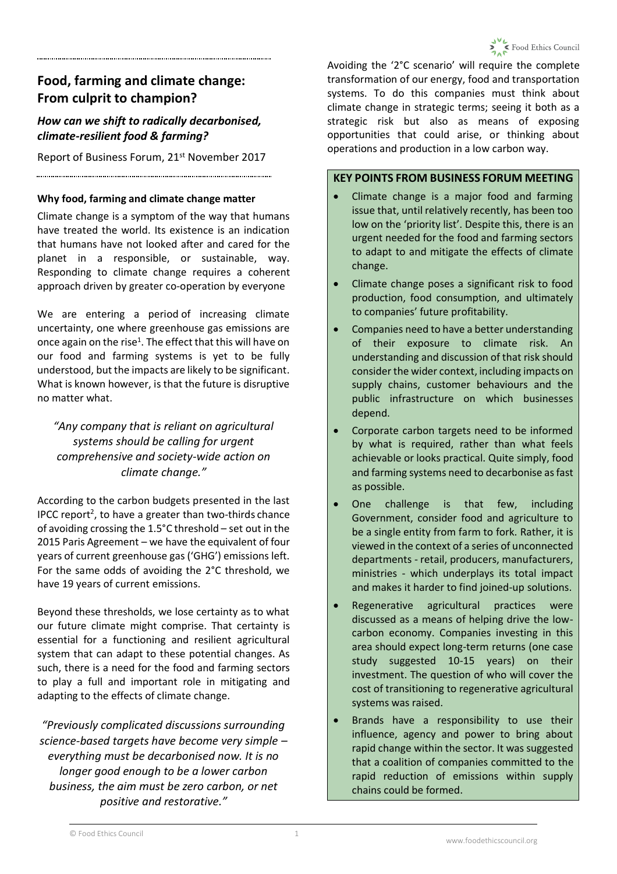# **Food, farming and climate change: From culprit to champion?**

# *How can we shift to radically decarbonised, climate-resilient food & farming?*

Report of Business Forum, 21st November 2017 

#### **Why food, farming and climate change matter**

Climate change is a symptom of the way that humans have treated the world. Its existence is an indication that humans have not looked after and cared for the planet in a responsible, or sustainable, way. Responding to climate change requires a coherent approach driven by greater co-operation by everyone

We are entering a period of increasing climate uncertainty, one where greenhouse gas emissions are once again on the rise<sup>1</sup>. The effect that this will have on our food and farming systems is yet to be fully understood, but the impacts are likely to be significant. What is known however, is that the future is disruptive no matter what.

## *"Any company that is reliant on agricultural systems should be calling for urgent comprehensive and society-wide action on climate change."*

According to the carbon budgets presented in the last IPCC report<sup>2</sup>, to have a greater than two-thirds chance of avoiding crossing the 1.5°C threshold – set out in the 2015 Paris Agreement – we have the equivalent of four years of current greenhouse gas ('GHG') emissions left. For the same odds of avoiding the 2°C threshold, we have 19 years of current emissions.

Beyond these thresholds, we lose certainty as to what our future climate might comprise. That certainty is essential for a functioning and resilient agricultural system that can adapt to these potential changes. As such, there is a need for the food and farming sectors to play a full and important role in mitigating and adapting to the effects of climate change.

*"Previously complicated discussions surrounding science-based targets have become very simple – everything must be decarbonised now. It is no longer good enough to be a lower carbon business, the aim must be zero carbon, or net positive and restorative."*

Avoiding the '2°C scenario' will require the complete transformation of our energy, food and transportation systems. To do this companies must think about climate change in strategic terms; seeing it both as a strategic risk but also as means of exposing opportunities that could arise, or thinking about operations and production in a low carbon way.

## **KEY POINTS FROM BUSINESS FORUM MEETING**

- Climate change is a major food and farming issue that, until relatively recently, has been too low on the 'priority list'. Despite this, there is an urgent needed for the food and farming sectors to adapt to and mitigate the effects of climate change.
- Climate change poses a significant risk to food production, food consumption, and ultimately to companies' future profitability.
- Companies need to have a better understanding of their exposure to climate risk. An understanding and discussion of that risk should consider the wider context, including impacts on supply chains, customer behaviours and the public infrastructure on which businesses depend.
- Corporate carbon targets need to be informed by what is required, rather than what feels achievable or looks practical. Quite simply, food and farming systems need to decarbonise as fast as possible.
- One challenge is that few, including Government, consider food and agriculture to be a single entity from farm to fork. Rather, it is viewed in the context of a series of unconnected departments - retail, producers, manufacturers, ministries - which underplays its total impact and makes it harder to find joined-up solutions.
- Regenerative agricultural practices were discussed as a means of helping drive the lowcarbon economy. Companies investing in this area should expect long-term returns (one case study suggested 10-15 years) on their investment. The question of who will cover the cost of transitioning to regenerative agricultural systems was raised.
- Brands have a responsibility to use their influence, agency and power to bring about rapid change within the sector. It was suggested that a coalition of companies committed to the rapid reduction of emissions within supply chains could be formed.